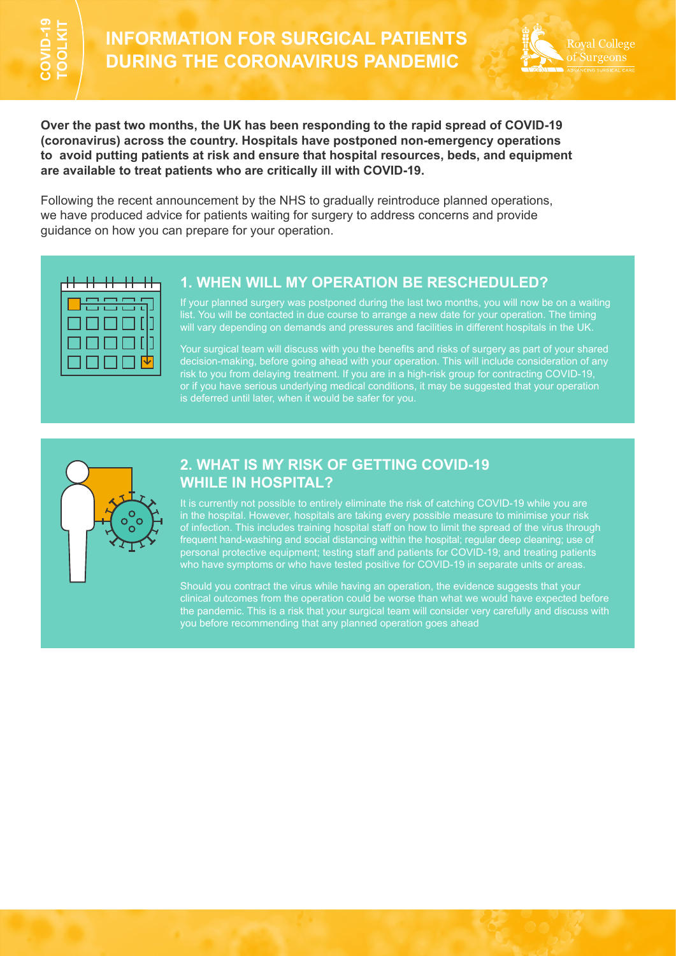

**Over the past two months, the UK has been responding to the rapid spread of COVID-19 (coronavirus) across the country. Hospitals have postponed non-emergency operations to avoid putting patients at risk and ensure that hospital resources, beds, and equipment are available to treat patients who are critically ill with COVID-19. EVALUATION FOR SURG<br>
DURING THE CORONAVIR**<br>
OVER THE CORONAVIR<br>
OVER THE CORONAVIR<br>
OVER THE CORONAVIR<br>
OVER THE CORONAVIR<br>
COVERT THE CORONAVIR<br>
TO AND THE CORONAVIR<br>
TO AND THE CORONAVIR<br>
TO AND THE CORONAVIR<br>
TO AND TH

Following the recent announcement by the NHS to gradually reintroduce planned operations, we have produced advice for patients waiting for surgery to address concerns and provide



# **1. WHEN WILL MY OPERATION BE RESCHEDULED?**

If your planned surgery was postponed during the last two months, you will now be on a waiting list. You will be contacted in due course to arrange a new date for your operation. The timing will vary depending on demands and pressures and facilities in different hospitals in the UK.

Your surgical team will discuss with you the benefits and risks of surgery as part of your shared decision-making, before going ahead with your operation. This will include consideration of any risk to you from delaying treatment. If you are in a high-risk group for contracting COVID-19, or if you have serious underlying medical conditions, it may be suggested that your operation is deferred until later, when it would be safer for you.



# **2. WHAT IS MY RISK OF GETTING COVID-19 WHILE IN HOSPITAL?**

It is currently not possible to entirely eliminate the risk of catching COVID-19 while you are in the hospital. However, hospitals are taking every possible measure to minimise your risk of infection. This includes training hospital staff on how to limit the spread of the virus through frequent hand-washing and social distancing within the hospital; regular deep cleaning; use of personal protective equipment; testing staff and patients for COVID-19; and treating patients who have symptoms or who have tested positive for COVID-19 in separate units or areas.

Should you contract the virus while having an operation, the evidence suggests that your clinical outcomes from the operation could be worse than what we would have expected before the pandemic. This is a risk that your surgical team will consider very carefully and discuss with you before recommending that any planned operation goes ahead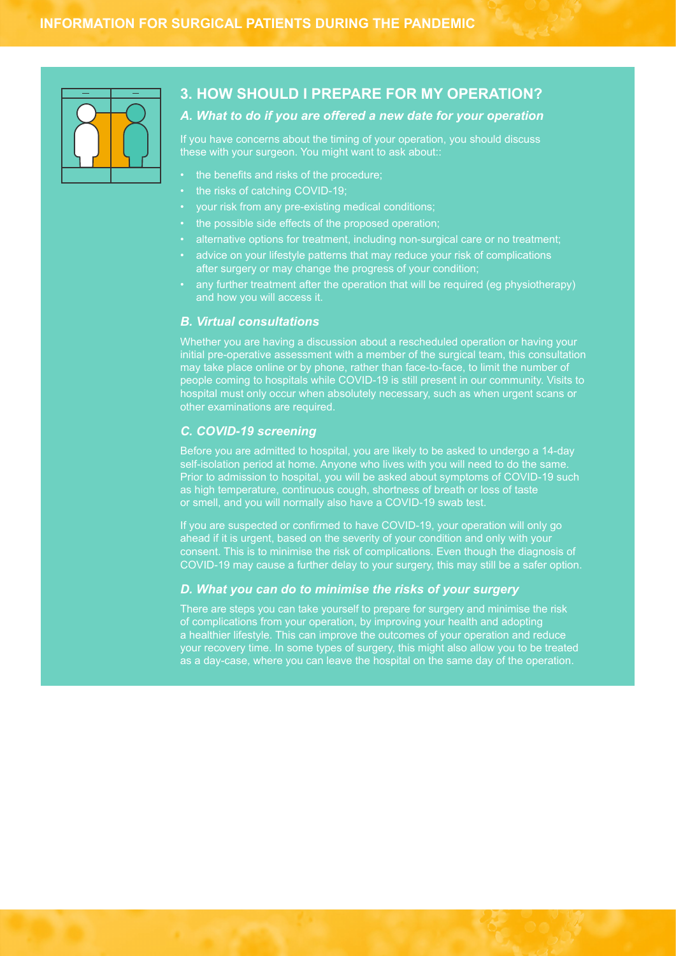

# **3. HOW SHOULD I PREPARE FOR MY OPERATION?**

## *A. What to do if you are offered a new date for your operation*

If you have concerns about the timing of your operation, you should discuss these with your surgeon. You might want to ask about::

- the benefits and risks of the procedure;
- the risks of catching COVID-19;
- your risk from any pre-existing medical conditions;
- the possible side effects of the proposed operation;
- alternative options for treatment, including non-surgical care or no treatment;
- advice on your lifestyle patterns that may reduce your risk of complications after surgery or may change the progress of your condition;
- any further treatment after the operation that will be required (eg physiotherapy) and how you will access it.

### *B. Virtual consultations*

Whether you are having a discussion about a rescheduled operation or having your initial pre-operative assessment with a member of the surgical team, this consultation may take place online or by phone, rather than face-to-face, to limit the number of people coming to hospitals while COVID-19 is still present in our community. Visits to hospital must only occur when absolutely necessary, such as when urgent scans or other examinations are required.

### *C. COVID-19 screening*

Before you are admitted to hospital, you are likely to be asked to undergo a 14-day self-isolation period at home. Anyone who lives with you will need to do the same. Prior to admission to hospital, you will be asked about symptoms of COVID-19 such as high temperature, continuous cough, shortness of breath or loss of taste or smell, and you will normally also have a COVID-19 swab test.

If you are suspected or confirmed to have COVID-19, your operation will only go ahead if it is urgent, based on the severity of your condition and only with your consent. This is to minimise the risk of complications. Even though the diagnosis of COVID-19 may cause a further delay to your surgery, this may still be a safer option.

### *D. What you can do to minimise the risks of your surgery*

There are steps you can take yourself to prepare for surgery and minimise the risk of complications from your operation, by improving your health and adopting a healthier lifestyle. This can improve the outcomes of your operation and reduce your recovery time. In some types of surgery, this might also allow you to be treated as a day-case, where you can leave the hospital on the same day of the operation.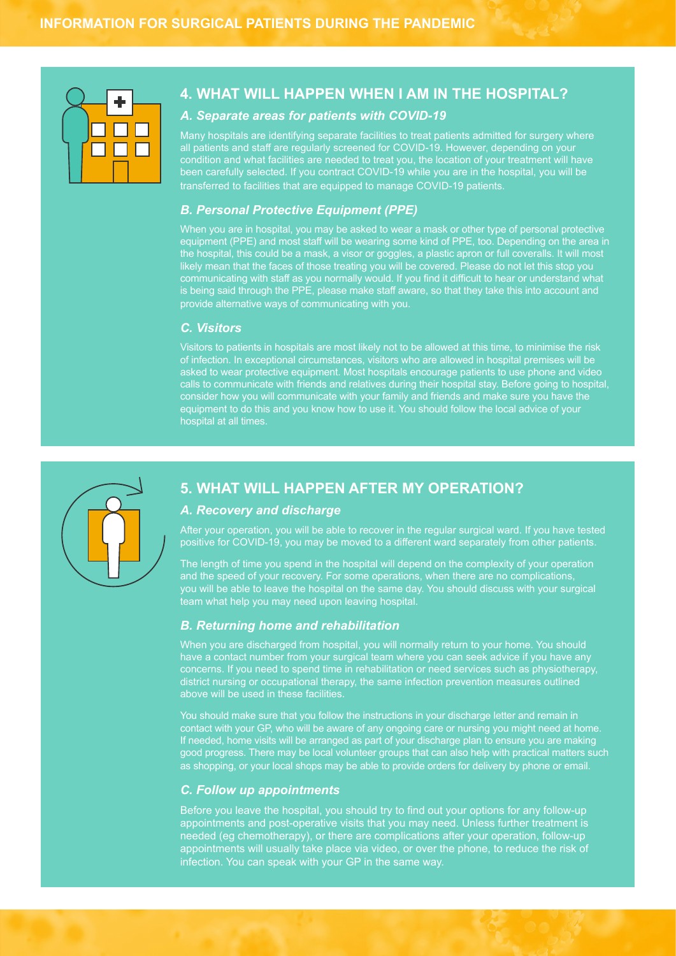

# **4. WHAT WILL HAPPEN WHEN I AM IN THE HOSPITAL?**

### *A. Separate areas for patients with COVID-19*

Many hospitals are identifying separate facilities to treat patients admitted for surgery where all patients and staff are regularly screened for COVID-19. However, depending on your transferred to facilities that are equipped to manage COVID-19 patients.

#### *B. Personal Protective Equipment (PPE)*

When you are in hospital, you may be asked to wear a mask or other type of personal protective equipment (PPE) and most staff will be wearing some kind of PPE, too. Depending on the area in the hospital, this could be a mask, a visor or goggles, a plastic apron or full coveralls. It will most likely mean that the faces of those treating you will be covered. Please do not let this stop you communicating with staff as you normally would. If you find it difficult to hear or understand what is being said through the PPE, please make staff aware, so that they take this into account and provide alternative ways of communicating with you.

#### *C. Visitors*

Visitors to patients in hospitals are most likely not to be allowed at this time, to minimise the risk of infection. In exceptional circumstances, visitors who are allowed in hospital premises will be asked to wear protective equipment. Most hospitals encourage patients to use phone and video calls to communicate with friends and relatives during their hospital stay. Before going to hospital, consider how you will communicate with your family and friends and make sure you have the equipment to do this and you know how to use it. You should follow the local advice of your hospital at all times.



# **5. WHAT WILL HAPPEN AFTER MY OPERATION?**

#### *A. Recovery and discharge*

After your operation, you will be able to recover in the regular surgical ward. If you have tested positive for COVID-19, you may be moved to a different ward separately from other patients.

The length of time you spend in the hospital will depend on the complexity of your operation and the speed of your recovery. For some operations, when there are no complications, you will be able to leave the hospital on the same day. You should discuss with your surgical team what help you may need upon leaving hospital.

#### *B. Returning home and rehabilitation*

When you are discharged from hospital, you will normally return to your home. You should have a contact number from your surgical team where you can seek advice if you have any concerns. If you need to spend time in rehabilitation or need services such as physiotherapy, district nursing or occupational therapy, the same infection prevention measures outlined above will be used in these facilities.

You should make sure that you follow the instructions in your discharge letter and remain in contact with your GP, who will be aware of any ongoing care or nursing you might need at home. If needed, home visits will be arranged as part of your discharge plan to ensure you are making good progress. There may be local volunteer groups that can also help with practical matters such as shopping, or your local shops may be able to provide orders for delivery by phone or email.

### *C. Follow up appointments*

Before you leave the hospital, you should try to find out your options for any follow-up appointments and post-operative visits that you may need. Unless further treatment is needed (eg chemotherapy), or there are complications after your operation, follow-up appointments will usually take place via video, or over the phone, to reduce the risk of infection. You can speak with your GP in the same way.